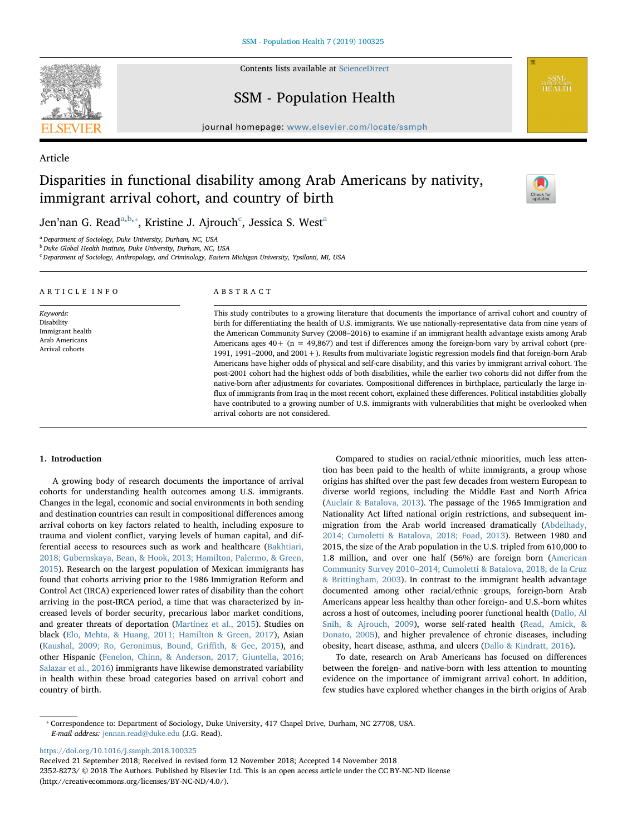

Contents lists available at [ScienceDirect](http://www.sciencedirect.com/science/journal/23528273)

# SSM - Population Health

journal homepage: [www.elsevier.com/locate/ssmph](https://www.elsevier.com/locate/ssmph)

# Article

# Disparities in functional disability among Arab Americans by nativity, immigrant arrival cohort, and country of birth

arrival cohorts are not considered.



Jen'n[a](#page-0-0)n G. Read $^{\mathrm{a,b,*}},$  $^{\mathrm{a,b,*}},$  $^{\mathrm{a,b,*}},$  $^{\mathrm{a,b,*}},$  Kristine J. Ajrou[c](#page-0-3)h $^{\mathrm{c}}$ , Jessica S. West $^{\mathrm{a}}$ 

<span id="page-0-0"></span><sup>a</sup> Department of Sociology, Duke University, Durham, NC, USA

<span id="page-0-1"></span><sup>b</sup> Duke Global Health Institute, Duke University, Durham, NC, USA

<span id="page-0-3"></span><sup>c</sup> Department of Sociology, Anthropology, and Criminology, Eastern Michigan University, Ypsilanti, MI, USA

| ARTICLE INFO                                          | ABSTRACT                                                                                                                                                                                                                          |  |  |  |
|-------------------------------------------------------|-----------------------------------------------------------------------------------------------------------------------------------------------------------------------------------------------------------------------------------|--|--|--|
| Keywords:                                             | This study contributes to a growing literature that documents the importance of arrival cohort and country of                                                                                                                     |  |  |  |
| Disability                                            | birth for differentiating the health of U.S. immigrants. We use nationally-representative data from nine years of                                                                                                                 |  |  |  |
| Immigrant health<br>Arab Americans<br>Arrival cohorts | the American Community Survey (2008–2016) to examine if an immigrant health advantage exists among Arab                                                                                                                           |  |  |  |
|                                                       | Americans ages $40 + (n = 49,867)$ and test if differences among the foreign-born vary by arrival cohort (pre-<br>1991, 1991–2000, and 2001 + ). Results from multivariate logistic regression models find that foreign-born Arab |  |  |  |
|                                                       | Americans have higher odds of physical and self-care disability, and this varies by immigrant arrival cohort. The                                                                                                                 |  |  |  |
|                                                       | post-2001 cohort had the highest odds of both disabilities, while the earlier two cohorts did not differ from the                                                                                                                 |  |  |  |
|                                                       | native-born after adjustments for covariates. Compositional differences in birthplace, particularly the large in-                                                                                                                 |  |  |  |
|                                                       | flux of immigrants from Iraq in the most recent cohort, explained these differences. Political instabilities globally                                                                                                             |  |  |  |

### 1. Introduction

A growing body of research documents the importance of arrival cohorts for understanding health outcomes among U.S. immigrants. Changes in the legal, economic and social environments in both sending and destination countries can result in compositional differences among arrival cohorts on key factors related to health, including exposure to trauma and violent conflict, varying levels of human capital, and differential access to resources such as work and healthcare [\(Bakhtiari,](#page-7-0) [2018; Gubernskaya, Bean, & Hook, 2013; Hamilton, Palermo, & Green,](#page-7-0) [2015\)](#page-7-0). Research on the largest population of Mexican immigrants has found that cohorts arriving prior to the 1986 Immigration Reform and Control Act (IRCA) experienced lower rates of disability than the cohort arriving in the post-IRCA period, a time that was characterized by increased levels of border security, precarious labor market conditions, and greater threats of deportation ([Martinez et al., 2015\)](#page-8-0). Studies on black ([Elo, Mehta, & Huang, 2011; Hamilton & Green, 2017](#page-7-1)), Asian ([Kaushal, 2009; Ro, Geronimus, Bound, Gri](#page-8-1)ffith, & Gee, 2015), and other Hispanic [\(Fenelon, Chinn, & Anderson, 2017; Giuntella, 2016;](#page-8-2) [Salazar et al., 2016\)](#page-8-2) immigrants have likewise demonstrated variability in health within these broad categories based on arrival cohort and country of birth.

Compared to studies on racial/ethnic minorities, much less attention has been paid to the health of white immigrants, a group whose origins has shifted over the past few decades from western European to diverse world regions, including the Middle East and North Africa ([Auclair & Batalova, 2013\)](#page-7-2). The passage of the 1965 Immigration and Nationality Act lifted national origin restrictions, and subsequent immigration from the Arab world increased dramatically [\(Abdelhady,](#page-7-3) [2014; Cumoletti & Batalova, 2018; Foad, 2013](#page-7-3)). Between 1980 and 2015, the size of the Arab population in the U.S. tripled from 610,000 to 1.8 million, and over one half (56%) are foreign born ([American](#page-7-4) Community Survey 2010–[2014; Cumoletti & Batalova, 2018; de la Cruz](#page-7-4) [& Brittingham, 2003](#page-7-4)). In contrast to the immigrant health advantage documented among other racial/ethnic groups, foreign-born Arab Americans appear less healthy than other foreign- and U.S.-born whites across a host of outcomes, including poorer functional health ([Dallo, Al](#page-7-5) [Snih, & Ajrouch, 2009](#page-7-5)), worse self-rated health [\(Read, Amick, &](#page-8-3) [Donato, 2005\)](#page-8-3), and higher prevalence of chronic diseases, including obesity, heart disease, asthma, and ulcers [\(Dallo & Kindratt, 2016\)](#page-7-6).

have contributed to a growing number of U.S. immigrants with vulnerabilities that might be overlooked when

To date, research on Arab Americans has focused on differences between the foreign- and native-born with less attention to mounting evidence on the importance of immigrant arrival cohort. In addition, few studies have explored whether changes in the birth origins of Arab

<https://doi.org/10.1016/j.ssmph.2018.100325>

Received 21 September 2018; Received in revised form 12 November 2018; Accepted 14 November 2018 2352-8273/ © 2018 The Authors. Published by Elsevier Ltd. This is an open access article under the CC BY-NC-ND license (http://creativecommons.org/licenses/BY-NC-ND/4.0/).

<span id="page-0-2"></span><sup>⁎</sup> Correspondence to: Department of Sociology, Duke University, 417 Chapel Drive, Durham, NC 27708, USA. E-mail address: [jennan.read@duke.edu](mailto:jennan.read@duke.edu) (J.G. Read).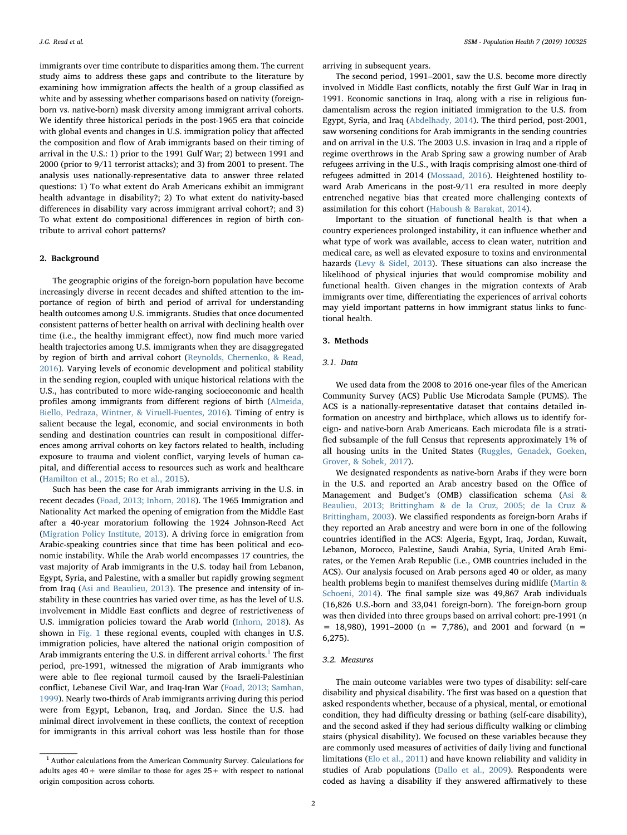immigrants over time contribute to disparities among them. The current study aims to address these gaps and contribute to the literature by examining how immigration affects the health of a group classified as white and by assessing whether comparisons based on nativity (foreignborn vs. native-born) mask diversity among immigrant arrival cohorts. We identify three historical periods in the post-1965 era that coincide with global events and changes in U.S. immigration policy that affected the composition and flow of Arab immigrants based on their timing of arrival in the U.S.: 1) prior to the 1991 Gulf War; 2) between 1991 and 2000 (prior to 9/11 terrorist attacks); and 3) from 2001 to present. The analysis uses nationally-representative data to answer three related questions: 1) To what extent do Arab Americans exhibit an immigrant health advantage in disability?; 2) To what extent do nativity-based differences in disability vary across immigrant arrival cohort?; and 3) To what extent do compositional differences in region of birth contribute to arrival cohort patterns?

## 2. Background

The geographic origins of the foreign-born population have become increasingly diverse in recent decades and shifted attention to the importance of region of birth and period of arrival for understanding health outcomes among U.S. immigrants. Studies that once documented consistent patterns of better health on arrival with declining health over time (i.e., the healthy immigrant effect), now find much more varied health trajectories among U.S. immigrants when they are disaggregated by region of birth and arrival cohort [\(Reynolds, Chernenko, & Read,](#page-8-4) [2016\)](#page-8-4). Varying levels of economic development and political stability in the sending region, coupled with unique historical relations with the U.S., has contributed to more wide-ranging socioeconomic and health profiles among immigrants from different regions of birth [\(Almeida,](#page-7-7) [Biello, Pedraza, Wintner, & Viruell-Fuentes, 2016](#page-7-7)). Timing of entry is salient because the legal, economic, and social environments in both sending and destination countries can result in compositional differences among arrival cohorts on key factors related to health, including exposure to trauma and violent conflict, varying levels of human capital, and differential access to resources such as work and healthcare ([Hamilton et al., 2015; Ro et al., 2015\)](#page-8-5).

Such has been the case for Arab immigrants arriving in the U.S. in recent decades ([Foad, 2013; Inhorn, 2018\)](#page-8-6). The 1965 Immigration and Nationality Act marked the opening of emigration from the Middle East after a 40-year moratorium following the 1924 Johnson-Reed Act ([Migration Policy Institute, 2013](#page-8-7)). A driving force in emigration from Arabic-speaking countries since that time has been political and economic instability. While the Arab world encompasses 17 countries, the vast majority of Arab immigrants in the U.S. today hail from Lebanon, Egypt, Syria, and Palestine, with a smaller but rapidly growing segment from Iraq ([Asi and Beaulieu, 2013](#page-7-8)). The presence and intensity of instability in these countries has varied over time, as has the level of U.S. involvement in Middle East conflicts and degree of restrictiveness of U.S. immigration policies toward the Arab world ([Inhorn, 2018](#page-8-8)). As shown in [Fig. 1](#page-2-0) these regional events, coupled with changes in U.S. immigration policies, have altered the national origin composition of Arab immigrants entering the U.S. in different arrival cohorts. $<sup>1</sup>$  $<sup>1</sup>$  $<sup>1</sup>$  The first</sup> period, pre-1991, witnessed the migration of Arab immigrants who were able to flee regional turmoil caused by the Israeli-Palestinian conflict, Lebanese Civil War, and Iraq-Iran War [\(Foad, 2013; Samhan,](#page-8-6) [1999\)](#page-8-6). Nearly two-thirds of Arab immigrants arriving during this period were from Egypt, Lebanon, Iraq, and Jordan. Since the U.S. had minimal direct involvement in these conflicts, the context of reception for immigrants in this arrival cohort was less hostile than for those

arriving in subsequent years.

The second period, 1991–2001, saw the U.S. become more directly involved in Middle East conflicts, notably the first Gulf War in Iraq in 1991. Economic sanctions in Iraq, along with a rise in religious fundamentalism across the region initiated immigration to the U.S. from Egypt, Syria, and Iraq [\(Abdelhady, 2014\)](#page-7-3). The third period, post-2001, saw worsening conditions for Arab immigrants in the sending countries and on arrival in the U.S. The 2003 U.S. invasion in Iraq and a ripple of regime overthrows in the Arab Spring saw a growing number of Arab refugees arriving in the U.S., with Iraqis comprising almost one-third of refugees admitted in 2014 [\(Mossaad, 2016](#page-8-9)). Heightened hostility toward Arab Americans in the post-9/11 era resulted in more deeply entrenched negative bias that created more challenging contexts of assimilation for this cohort [\(Haboush & Barakat, 2014](#page-8-10)).

Important to the situation of functional health is that when a country experiences prolonged instability, it can influence whether and what type of work was available, access to clean water, nutrition and medical care, as well as elevated exposure to toxins and environmental hazards [\(Levy & Sidel, 2013\)](#page-8-11). These situations can also increase the likelihood of physical injuries that would compromise mobility and functional health. Given changes in the migration contexts of Arab immigrants over time, differentiating the experiences of arrival cohorts may yield important patterns in how immigrant status links to functional health.

#### 3. Methods

## 3.1. Data

We used data from the 2008 to 2016 one-year files of the American Community Survey (ACS) Public Use Microdata Sample (PUMS). The ACS is a nationally-representative dataset that contains detailed information on ancestry and birthplace, which allows us to identify foreign- and native-born Arab Americans. Each microdata file is a stratified subsample of the full Census that represents approximately 1% of all housing units in the United States [\(Ruggles, Genadek, Goeken,](#page-8-12) [Grover, & Sobek, 2017\)](#page-8-12).

We designated respondents as native-born Arabs if they were born in the U.S. and reported an Arab ancestry based on the Office of Management and Budget's (OMB) classification schema [\(Asi &](#page-7-8) [Beaulieu, 2013; Brittingham & de la Cruz, 2005; de la Cruz &](#page-7-8) [Brittingham, 2003\)](#page-7-8). We classified respondents as foreign-born Arabs if they reported an Arab ancestry and were born in one of the following countries identified in the ACS: Algeria, Egypt, Iraq, Jordan, Kuwait, Lebanon, Morocco, Palestine, Saudi Arabia, Syria, United Arab Emirates, or the Yemen Arab Republic (i.e., OMB countries included in the ACS). Our analysis focused on Arab persons aged 40 or older, as many health problems begin to manifest themselves during midlife [\(Martin &](#page-8-13) [Schoeni, 2014](#page-8-13)). The final sample size was 49,867 Arab individuals (16,826 U.S.-born and 33,041 foreign-born). The foreign-born group was then divided into three groups based on arrival cohort: pre-1991 (n  $=$  18,980), 1991–2000 (n = 7,786), and 2001 and forward (n = 6,275).

## 3.2. Measures

The main outcome variables were two types of disability: self-care disability and physical disability. The first was based on a question that asked respondents whether, because of a physical, mental, or emotional condition, they had difficulty dressing or bathing (self-care disability), and the second asked if they had serious difficulty walking or climbing stairs (physical disability). We focused on these variables because they are commonly used measures of activities of daily living and functional limitations ([Elo et al., 2011](#page-7-1)) and have known reliability and validity in studies of Arab populations ([Dallo et al., 2009\)](#page-7-5). Respondents were coded as having a disability if they answered affirmatively to these

<span id="page-1-0"></span> $^{\rm 1}$  Author calculations from the American Community Survey. Calculations for adults ages  $40+$  were similar to those for ages  $25+$  with respect to national origin composition across cohorts.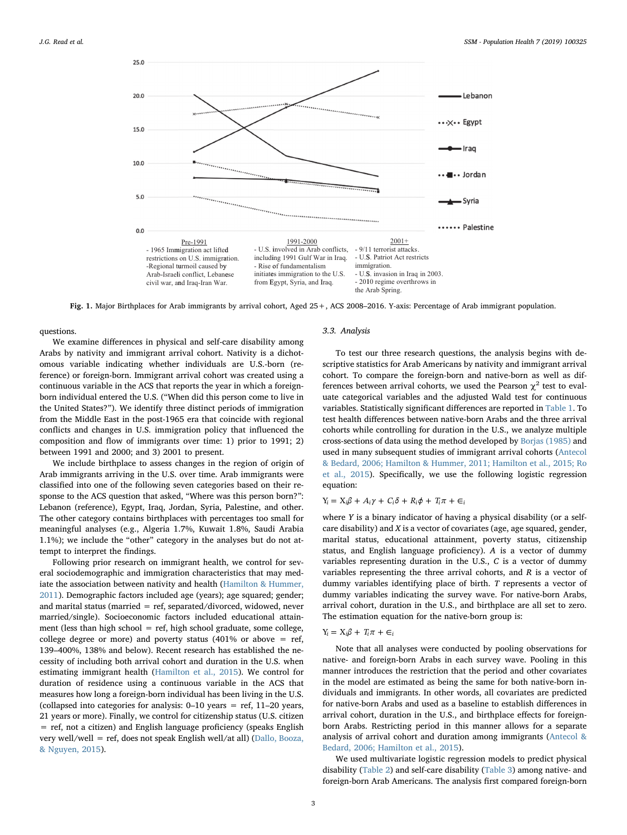<span id="page-2-0"></span>

Fig. 1. Major Birthplaces for Arab immigrants by arrival cohort, Aged 25+, ACS 2008–2016. Y-axis: Percentage of Arab immigrant population.

questions.

We examine differences in physical and self-care disability among Arabs by nativity and immigrant arrival cohort. Nativity is a dichotomous variable indicating whether individuals are U.S.-born (reference) or foreign-born. Immigrant arrival cohort was created using a continuous variable in the ACS that reports the year in which a foreignborn individual entered the U.S. ("When did this person come to live in the United States?"). We identify three distinct periods of immigration from the Middle East in the post-1965 era that coincide with regional conflicts and changes in U.S. immigration policy that influenced the composition and flow of immigrants over time: 1) prior to 1991; 2) between 1991 and 2000; and 3) 2001 to present.

We include birthplace to assess changes in the region of origin of Arab immigrants arriving in the U.S. over time. Arab immigrants were classified into one of the following seven categories based on their response to the ACS question that asked, "Where was this person born?": Lebanon (reference), Egypt, Iraq, Jordan, Syria, Palestine, and other. The other category contains birthplaces with percentages too small for meaningful analyses (e.g., Algeria 1.7%, Kuwait 1.8%, Saudi Arabia 1.1%); we include the "other" category in the analyses but do not attempt to interpret the findings.

Following prior research on immigrant health, we control for several sociodemographic and immigration characteristics that may mediate the association between nativity and health [\(Hamilton & Hummer,](#page-8-14) [2011\)](#page-8-14). Demographic factors included age (years); age squared; gender; and marital status (married  $=$  ref, separated/divorced, widowed, never married/single). Socioeconomic factors included educational attainment (less than high school = ref, high school graduate, some college, college degree or more) and poverty status (401% or above  $=$  ref, 139–400%, 138% and below). Recent research has established the necessity of including both arrival cohort and duration in the U.S. when estimating immigrant health [\(Hamilton et al., 2015](#page-8-5)). We control for duration of residence using a continuous variable in the ACS that measures how long a foreign-born individual has been living in the U.S. (collapsed into categories for analysis: 0–10 years = ref, 11–20 years, 21 years or more). Finally, we control for citizenship status (U.S. citizen = ref, not a citizen) and English language proficiency (speaks English very well/well = ref, does not speak English well/at all) [\(Dallo, Booza,](#page-7-9) [& Nguyen, 2015\)](#page-7-9).

## 3.3. Analysis

To test our three research questions, the analysis begins with descriptive statistics for Arab Americans by nativity and immigrant arrival cohort. To compare the foreign-born and native-born as well as differences between arrival cohorts, we used the Pearson  $\chi^2$  test to evaluate categorical variables and the adjusted Wald test for continuous variables. Statistically significant differences are reported in [Table 1](#page-3-0). To test health differences between native-born Arabs and the three arrival cohorts while controlling for duration in the U.S., we analyze multiple cross-sections of data using the method developed by [Borjas \(1985\)](#page-7-10) and used in many subsequent studies of immigrant arrival cohorts ([Antecol](#page-7-11) [& Bedard, 2006; Hamilton & Hummer, 2011; Hamilton et al., 2015; Ro](#page-7-11) [et al., 2015\)](#page-7-11). Specifically, we use the following logistic regression equation:

## $Y_i = X_i \beta + A_i \gamma + C_i \delta + R_i \phi + T_i \pi + \epsilon_i$

where Y is a binary indicator of having a physical disability (or a selfcare disability) and  $X$  is a vector of covariates (age, age squared, gender, marital status, educational attainment, poverty status, citizenship status, and English language proficiency). A is a vector of dummy variables representing duration in the U.S., C is a vector of dummy variables representing the three arrival cohorts, and R is a vector of dummy variables identifying place of birth. T represents a vector of dummy variables indicating the survey wave. For native-born Arabs, arrival cohort, duration in the U.S., and birthplace are all set to zero. The estimation equation for the native-born group is:

## $Y_i = X_i \beta + T_i \pi + \epsilon_i$

Note that all analyses were conducted by pooling observations for native- and foreign-born Arabs in each survey wave. Pooling in this manner introduces the restriction that the period and other covariates in the model are estimated as being the same for both native-born individuals and immigrants. In other words, all covariates are predicted for native-born Arabs and used as a baseline to establish differences in arrival cohort, duration in the U.S., and birthplace effects for foreignborn Arabs. Restricting period in this manner allows for a separate analysis of arrival cohort and duration among immigrants [\(Antecol &](#page-7-11) [Bedard, 2006; Hamilton et al., 2015\)](#page-7-11).

We used multivariate logistic regression models to predict physical disability [\(Table 2\)](#page-4-0) and self-care disability ([Table 3\)](#page-5-0) among native- and foreign-born Arab Americans. The analysis first compared foreign-born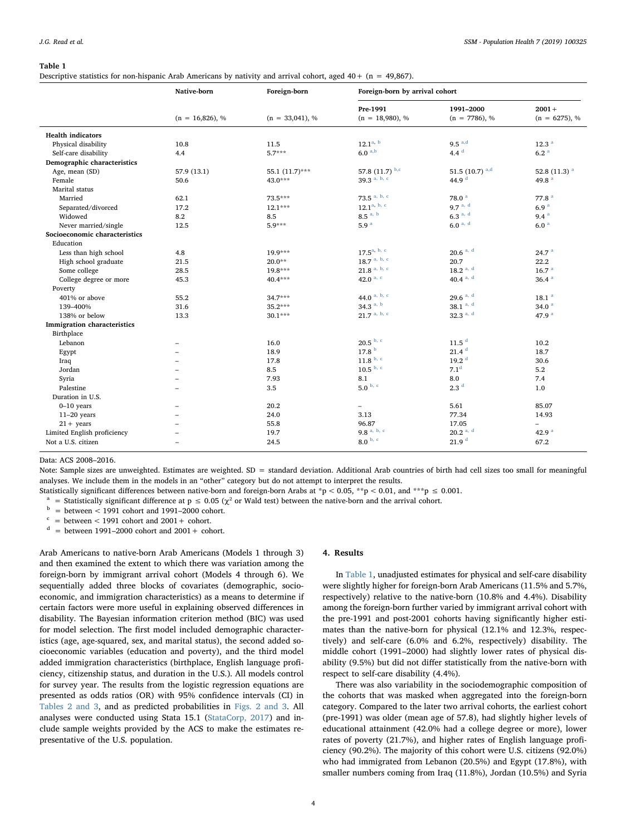#### <span id="page-3-0"></span>Table 1

Descriptive statistics for non-hispanic Arab Americans by nativity and arrival cohort, aged 40+ (n = 49,867).

|                                    | Native-born       | Foreign-born      | Foreign-born by arrival cohort |                     |                            |
|------------------------------------|-------------------|-------------------|--------------------------------|---------------------|----------------------------|
|                                    |                   |                   | Pre-1991                       | 1991-2000           | $2001 +$                   |
|                                    | $(n = 16,826), %$ | $(n = 33,041), %$ | $(n = 18,980), %$              | $(n = 7786), %$     | $(n = 6275), %$            |
| <b>Health indicators</b>           |                   |                   |                                |                     |                            |
| Physical disability                | 10.8              | 11.5              | $12.1^{a, b}$                  | $9.5^{a,d}$         | 12.3 <sup>a</sup>          |
| Self-care disability               | 4.4               | $5.7***$          | $6.0^{a,b}$                    | 4.4 $d$             | 6.2 <sup>a</sup>           |
| Demographic characteristics        |                   |                   |                                |                     |                            |
| Age, mean (SD)                     | 57.9 (13.1)       | 55.1 (11.7)***    | 57.8 $(11.7)$ b,c              | 51.5 (10.7) $a,d$   | 52.8 $(11.3)$ <sup>a</sup> |
| Female                             | 50.6              | 43.0***           | 39.3 a, b, c                   | 44.9 <sup>d</sup>   | 49.8 $a$                   |
| Marital status                     |                   |                   |                                |                     |                            |
| Married                            | 62.1              | 73.5***           | 73.5 $a, b, c$                 | 78.0 <sup>a</sup>   | 77.8 <sup>a</sup>          |
| Separated/divorced                 | 17.2              | $12.1***$         | 12.1 <sup>a, b, c</sup>        | 9.7 <sup>a, d</sup> | 6.9 <sup>a</sup>           |
| Widowed                            | 8.2               | 8.5               | $8.5^{a, b}$                   | 6.3 <sup>a, d</sup> | 9.4 <sup>a</sup>           |
| Never married/single               | 12.5              | $5.9***$          | 5.9 <sup>a</sup>               | $6.0^{a, d}$        | 6.0 <sup>a</sup>           |
| Socioeconomic characteristics      |                   |                   |                                |                     |                            |
| Education                          |                   |                   |                                |                     |                            |
| Less than high school              | 4.8               | 19.9***           | $17.5^{a, b, c}$               | $20.6^{a, d}$       | 24.7 <sup>a</sup>          |
| High school graduate               | 21.5              | $20.0**$          | $18.7$ <sup>a, b, c</sup>      | 20.7                | 22.2                       |
| Some college                       | 28.5              | $19.8***$         | $21.8$ a, b, c                 | $18.2^{a, d}$       | 16.7 <sup>a</sup>          |
| College degree or more             | 45.3              | 40.4 ***          | 42.0 $a, c$                    | 40.4 $a, d$         | 36.4 <sup>a</sup>          |
| Poverty                            |                   |                   |                                |                     |                            |
| 401% or above                      | 55.2              | $34.7***$         | 44.0 a, b, c                   | 29.6 $a, d$         | $18.1$ <sup>a</sup>        |
| 139-400%                           | 31.6              | 35.2***           | 34.3 $a, b$                    | 38.1 $a, d$         | 34.0 $a$                   |
| 138% or below                      | 13.3              | $30.1***$         | $21.7$ <sup>a, b, c</sup>      | 32.3 $a, d$         | 47.9 $a$                   |
| <b>Immigration</b> characteristics |                   |                   |                                |                     |                            |
| Birthplace                         |                   |                   |                                |                     |                            |
| Lebanon                            | ۰                 | 16.0              | $20.5$ $b, c$                  | 11.5 <sup>d</sup>   | 10.2                       |
| Egypt                              |                   | 18.9              | 17.8 <sup>b</sup>              | 21.4 <sup>d</sup>   | 18.7                       |
| Iraq                               |                   | 17.8              | $11.8$ $^{\mathrm{b,~c}}$      | 19.2 <sup>d</sup>   | 30.6                       |
| Jordan                             |                   | 8.5               | $10.5^{b, c}$                  | 7.1 <sup>d</sup>    | 5.2                        |
| Syria                              |                   | 7.93              | 8.1                            | 8.0                 | 7.4                        |
| Palestine                          | ۰                 | 3.5               | 5.0 <sup>b, c</sup>            | 2.3 <sup>d</sup>    | 1.0                        |
| Duration in U.S.                   |                   |                   |                                |                     |                            |
| $0-10$ years                       | -                 | 20.2              | $\qquad \qquad -$              | 5.61                | 85.07                      |
| $11-20$ years                      |                   | 24.0              | 3.13                           | 77.34               | 14.93                      |
| $21 + \text{years}$                |                   | 55.8              | 96.87                          | 17.05               | $\overline{\phantom{0}}$   |
| Limited English proficiency        |                   | 19.7              | 9.8 $a, b, c$                  | $20.2^{a, d}$       | 42.9 $a$                   |
| Not a U.S. citizen                 |                   | 24.5              | $8.0$ $^{\rm b,~c}$            | 21.9 <sup>d</sup>   | 67.2                       |

Data: ACS 2008–2016.

Note: Sample sizes are unweighted. Estimates are weighted. SD = standard deviation. Additional Arab countries of birth had cell sizes too small for meaningful analyses. We include them in the models in an "other" category but do not attempt to interpret the results.

Statistically significant differences between native-born and foreign-born Arabs at \*p < 0.05, \*\*p < 0.01, and \*\*\*p  $\leq 0.001$ .

<span id="page-3-1"></span><sup>a</sup> = Statistically significant difference at p  $\leq 0.05$  ( $\chi^2$  or Wald test) between the native-born and the arrival cohort.<br><sup>b</sup> = between < 1991 cohort and 1991–2000 cohort.

<span id="page-3-2"></span>

 $=$  between  $<$  1991 cohort and 2001 + cohort.

<span id="page-3-3"></span> $=$  between 1991–2000 cohort and 2001 + cohort.

Arab Americans to native-born Arab Americans (Models 1 through 3) and then examined the extent to which there was variation among the foreign-born by immigrant arrival cohort (Models 4 through 6). We sequentially added three blocks of covariates (demographic, socioeconomic, and immigration characteristics) as a means to determine if certain factors were more useful in explaining observed differences in disability. The Bayesian information criterion method (BIC) was used for model selection. The first model included demographic characteristics (age, age-squared, sex, and marital status), the second added socioeconomic variables (education and poverty), and the third model added immigration characteristics (birthplace, English language proficiency, citizenship status, and duration in the U.S.). All models control for survey year. The results from the logistic regression equations are presented as odds ratios (OR) with 95% confidence intervals (CI) in [Tables 2 and 3,](#page-4-0) and as predicted probabilities in [Figs. 2 and 3.](#page-5-1) All analyses were conducted using Stata 15.1 ([StataCorp, 2017\)](#page-8-15) and include sample weights provided by the ACS to make the estimates representative of the U.S. population.

#### 4. Results

In [Table 1,](#page-3-0) unadjusted estimates for physical and self-care disability were slightly higher for foreign-born Arab Americans (11.5% and 5.7%, respectively) relative to the native-born (10.8% and 4.4%). Disability among the foreign-born further varied by immigrant arrival cohort with the pre-1991 and post-2001 cohorts having significantly higher estimates than the native-born for physical (12.1% and 12.3%, respectively) and self-care (6.0% and 6.2%, respectively) disability. The middle cohort (1991–2000) had slightly lower rates of physical disability (9.5%) but did not differ statistically from the native-born with respect to self-care disability (4.4%).

There was also variability in the sociodemographic composition of the cohorts that was masked when aggregated into the foreign-born category. Compared to the later two arrival cohorts, the earliest cohort (pre-1991) was older (mean age of 57.8), had slightly higher levels of educational attainment (42.0% had a college degree or more), lower rates of poverty (21.7%), and higher rates of English language proficiency (90.2%). The majority of this cohort were U.S. citizens (92.0%) who had immigrated from Lebanon (20.5%) and Egypt (17.8%), with smaller numbers coming from Iraq (11.8%), Jordan (10.5%) and Syria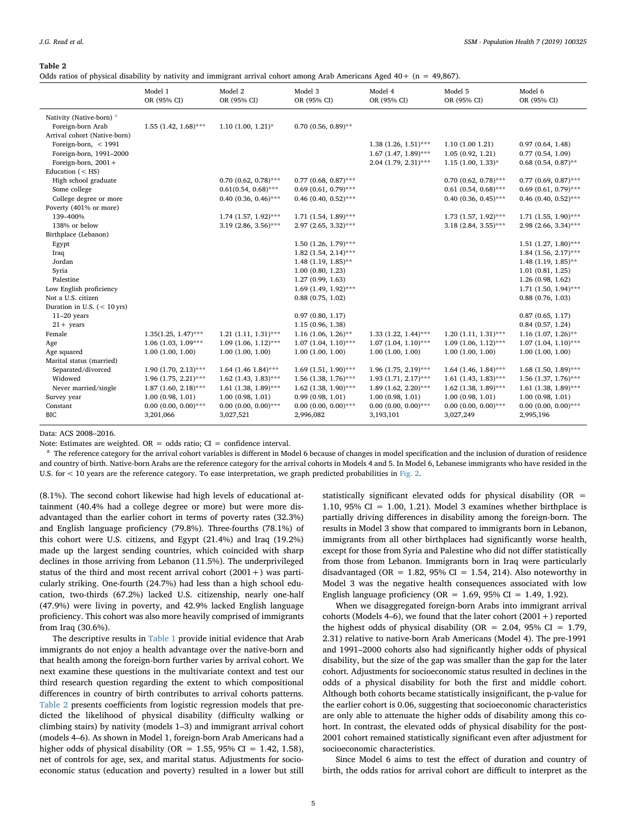#### <span id="page-4-0"></span>Table 2

Odds ratios of physical disability by nativity and immigrant arrival cohort among Arab Americans Aged  $40 + (n = 49,867)$ .

|                                                                                          | Model 1<br>OR (95% CI)    | Model 2<br>OR (95% CI)    | Model 3<br>OR (95% CI)    | Model 4<br>OR (95% CI)                                                           | Model 5<br>OR (95% CI)                                        | Model 6<br>OR (95% CI)                                           |
|------------------------------------------------------------------------------------------|---------------------------|---------------------------|---------------------------|----------------------------------------------------------------------------------|---------------------------------------------------------------|------------------------------------------------------------------|
| Nativity (Native-born) <sup>a</sup><br>Foreign-born Arab<br>Arrival cohort (Native-born) | $1.55$ (1.42, 1.68)***    | $1.10$ (1.00, 1.21)*      | $0.70$ (0.56, 0.89)**     |                                                                                  |                                                               |                                                                  |
| Foreign-born, $<$ 1991<br>Foreign-born, 1991-2000<br>Foreign-born, $2001 +$              |                           |                           |                           | $1.38$ $(1.26, 1.51)$ ***<br>$1.67$ (1.47, 1.89)***<br>$2.04$ (1.79, $2.31$ )*** | 1.10(1.001.21)<br>1.05(0.92, 1.21)<br>$1.15$ $(1.00, 1.33)$ * | 0.97(0.64, 1.48)<br>0.77(0.54, 1.09)<br>$0.68$ $(0.54, 0.87)$ ** |
| Education $(<$ HS)                                                                       |                           |                           |                           |                                                                                  |                                                               |                                                                  |
| High school graduate                                                                     |                           | $0.70$ $(0.62, 0.78)$ *** | $0.77$ (0.68, 0.87)***    |                                                                                  | $0.70$ $(0.62, 0.78)$ ***                                     | $0.77$ (0.69, 0.87)***                                           |
| Some college                                                                             |                           | $0.61(0.54, 0.68)$ ***    | $0.69$ $(0.61, 0.79)$ *** |                                                                                  | $0.61$ (0.54, 0.68)***                                        | $0.69$ (0.61, 0.79)***                                           |
| College degree or more                                                                   |                           | $0.40$ (0.36, 0.46)***    | $0.46$ (0.40, 0.52)***    |                                                                                  | $0.40$ (0.36, 0.45)***                                        | $0.46$ (0.40, 0.52)***                                           |
| Poverty (401% or more)                                                                   |                           |                           |                           |                                                                                  |                                                               |                                                                  |
| 139-400%                                                                                 |                           | $1.74$ (1.57, 1.92)***    | $1.71$ (1.54, 1.89)***    |                                                                                  | $1.73$ (1.57, 1.92)***                                        | $1.71$ (1.55, 1.90)***                                           |
| 138% or below                                                                            |                           | $3.19$ (2.86, 3.56)***    | $2.97$ (2.65, 3.32)***    |                                                                                  | $3.18$ (2.84, 3.55)***                                        | $2.98$ (2.66, 3.34)***                                           |
| Birthplace (Lebanon)                                                                     |                           |                           |                           |                                                                                  |                                                               |                                                                  |
| Egypt                                                                                    |                           |                           | $1.50$ (1.26, 1.79)***    |                                                                                  |                                                               | $1.51$ $(1.27, 1.80)$ ***                                        |
| Iraq                                                                                     |                           |                           | $1.82$ (1.54, 2.14)***    |                                                                                  |                                                               | $1.84$ (1.56, 2.17)***                                           |
| Jordan                                                                                   |                           |                           | $1.48$ (1.19, 1.85)**     |                                                                                  |                                                               | $1.48$ (1.19, 1.85)**                                            |
| Syria                                                                                    |                           |                           | 1.00(0.80, 1.23)          |                                                                                  |                                                               | 1.01(0.81, 1.25)                                                 |
| Palestine                                                                                |                           |                           | 1.27(0.99, 1.63)          |                                                                                  |                                                               | 1.26(0.98, 1.62)                                                 |
| Low English proficiency                                                                  |                           |                           | $1.69$ (1.49, 1.92)***    |                                                                                  |                                                               | $1.71$ (1.50, 1.94)***                                           |
| Not a U.S. citizen                                                                       |                           |                           | 0.88(0.75, 1.02)          |                                                                                  |                                                               | 0.88(0.76, 1.03)                                                 |
| Duration in U.S. $(< 10$ yrs)                                                            |                           |                           |                           |                                                                                  |                                                               |                                                                  |
| $11-20$ years                                                                            |                           |                           | 0.97(0.80, 1.17)          |                                                                                  |                                                               | 0.87(0.65, 1.17)                                                 |
| $21 + \text{years}$                                                                      |                           |                           | 1.15(0.96, 1.38)          |                                                                                  |                                                               | 0.84(0.57, 1.24)                                                 |
| Female                                                                                   | $1.35(1.25, 1.47)$ ***    | $1.21$ $(1.11, 1.31)$ *** | $1.16$ (1.06, 1.26)**     | $1.33$ $(1.22, 1.44)$ ***                                                        | $1.20(1.11, 1.31)$ ***                                        | $1.16$ (1.07, 1.26)**                                            |
| Age                                                                                      | $1.06$ (1.03, 1.09***     | $1.09$ (1.06, $1.12$ )*** | $1.07$ $(1.04, 1.10)$ *** | $1.07$ $(1.04, 1.10)$ ***                                                        | $1.09$ (1.06, $1.12$ )***                                     | $1.07$ (1.04, 1.10)***                                           |
| Age squared                                                                              | 1.00(1.00, 1.00)          | 1.00(1.00, 1.00)          | 1.00(1.00, 1.00)          | 1.00(1.00, 1.00)                                                                 | 1.00(1.00, 1.00)                                              | 1.00(1.00, 1.00)                                                 |
| Marital status (married)                                                                 |                           |                           |                           |                                                                                  |                                                               |                                                                  |
| Separated/divorced                                                                       | $1.90(1.70, 2.13)$ ***    | 1.64 (1.46 1.84)***       | $1.69$ (1.51, 1.90)***    | $1.96$ (1.75, 2.19)***                                                           | $1.64$ (1.46, 1.84)***                                        | $1.68$ (1.50, 1.89)***                                           |
| Widowed                                                                                  | $1.96$ (1.75, 2.21)***    | $1.62$ (1.43, 1.83)***    | $1.56$ (1.38, 1.76)***    | $1.93$ $(1.71, 2.17)$ ***                                                        | $1.61$ (1.43, 1.83)***                                        | 1.56 $(1.37, 1.76)$ ***                                          |
| Never married/single                                                                     | $1.87$ (1.60, 2.18)***    | $1.61$ (1.38, 1.89)***    | $1.62$ (1.38, 1.90)***    | $1.89(1.62, 2.20)$ ***                                                           | 1.62 (1.38, 1.89)***                                          | 1.61 (1.38, 1.89)***                                             |
| Survey year                                                                              | 1.00(0.98, 1.01)          | 1.00(0.98, 1.01)          | 0.99(0.98, 1.01)          | 1.00(0.98, 1.01)                                                                 | 1.00(0.98, 1.01)                                              | 1.00(0.98, 1.01)                                                 |
| Constant                                                                                 | $0.00$ $(0.00, 0.00)$ *** | $0.00$ $(0.00, 0.00)$ *** | $0.00$ $(0.00, 0.00)$ *** | $0.00$ $(0.00, 0.00)$ ***                                                        | $0.00$ $(0.00, 0.00)$ ***                                     | $0.00$ $(0.00, 0.00)$ ***                                        |
| <b>BIC</b>                                                                               | 3,201,066                 | 3,027,521                 | 2,996,082                 | 3,193,101                                                                        | 3,027,249                                                     | 2,995,196                                                        |

Data: ACS 2008–2016.

Note: Estimates are weighted. OR = odds ratio;  $CI =$  confidence interval.

<span id="page-4-1"></span><sup>a</sup> The reference category for the arrival cohort variables is different in Model 6 because of changes in model specification and the inclusion of duration of residence and country of birth. Native-born Arabs are the reference category for the arrival cohorts in Models 4 and 5. In Model 6, Lebanese immigrants who have resided in the U.S. for < 10 years are the reference category. To ease interpretation, we graph predicted probabilities in [Fig. 2](#page-5-1).

(8.1%). The second cohort likewise had high levels of educational attainment (40.4% had a college degree or more) but were more disadvantaged than the earlier cohort in terms of poverty rates (32.3%) and English language proficiency (79.8%). Three-fourths (78.1%) of this cohort were U.S. citizens, and Egypt (21.4%) and Iraq (19.2%) made up the largest sending countries, which coincided with sharp declines in those arriving from Lebanon (11.5%). The underprivileged status of the third and most recent arrival cohort  $(2001+)$  was particularly striking. One-fourth (24.7%) had less than a high school education, two-thirds (67.2%) lacked U.S. citizenship, nearly one-half (47.9%) were living in poverty, and 42.9% lacked English language proficiency. This cohort was also more heavily comprised of immigrants from Iraq (30.6%).

The descriptive results in [Table 1](#page-3-0) provide initial evidence that Arab immigrants do not enjoy a health advantage over the native-born and that health among the foreign-born further varies by arrival cohort. We next examine these questions in the multivariate context and test our third research question regarding the extent to which compositional differences in country of birth contributes to arrival cohorts patterns. [Table 2](#page-4-0) presents coefficients from logistic regression models that predicted the likelihood of physical disability (difficulty walking or climbing stairs) by nativity (models 1–3) and immigrant arrival cohort (models 4–6). As shown in Model 1, foreign-born Arab Americans had a higher odds of physical disability (OR = 1.55, 95% CI = 1.42, 1.58), net of controls for age, sex, and marital status. Adjustments for socioeconomic status (education and poverty) resulted in a lower but still

statistically significant elevated odds for physical disability (OR = 1.10, 95% CI = 1.00, 1.21). Model 3 examines whether birthplace is partially driving differences in disability among the foreign-born. The results in Model 3 show that compared to immigrants born in Lebanon, immigrants from all other birthplaces had significantly worse health, except for those from Syria and Palestine who did not differ statistically from those from Lebanon. Immigrants born in Iraq were particularly disadvantaged (OR =  $1.82$ , 95% CI = 1.54, 214). Also noteworthy in Model 3 was the negative health consequences associated with low English language proficiency (OR =  $1.69$ , 95% CI =  $1.49$ , 1.92).

When we disaggregated foreign-born Arabs into immigrant arrival cohorts (Models 4–6), we found that the later cohort  $(2001+)$  reported the highest odds of physical disability (OR = 2.04, 95% CI = 1.79, 2.31) relative to native-born Arab Americans (Model 4). The pre-1991 and 1991–2000 cohorts also had significantly higher odds of physical disability, but the size of the gap was smaller than the gap for the later cohort. Adjustments for socioeconomic status resulted in declines in the odds of a physical disability for both the first and middle cohort. Although both cohorts became statistically insignificant, the p-value for the earlier cohort is 0.06, suggesting that socioeconomic characteristics are only able to attenuate the higher odds of disability among this cohort. In contrast, the elevated odds of physical disability for the post-2001 cohort remained statistically significant even after adjustment for socioeconomic characteristics.

Since Model 6 aims to test the effect of duration and country of birth, the odds ratios for arrival cohort are difficult to interpret as the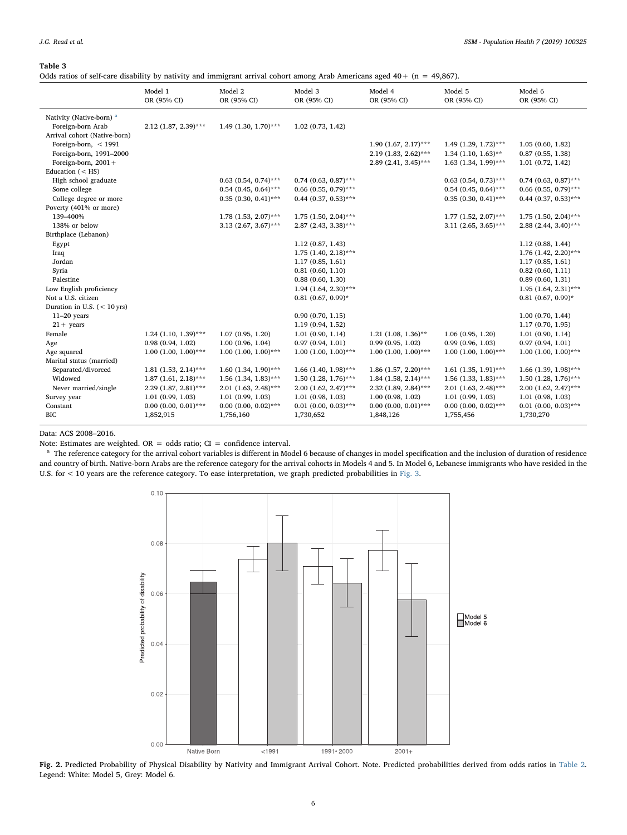### <span id="page-5-0"></span>Table 3

Odds ratios of self-care disability by nativity and immigrant arrival cohort among Arab Americans aged 40+ (n = 49,867).

|                                                                                          | Model 1<br>OR (95% CI)    | Model 2<br>OR (95% CI) | Model 3<br>OR (95% CI)    | Model 4<br>OR (95% CI)                                                      | Model 5<br>OR (95% CI)                                                     | Model 6<br>OR (95% CI)                                   |
|------------------------------------------------------------------------------------------|---------------------------|------------------------|---------------------------|-----------------------------------------------------------------------------|----------------------------------------------------------------------------|----------------------------------------------------------|
| Nativity (Native-born) <sup>a</sup><br>Foreign-born Arab<br>Arrival cohort (Native-born) | 2.12 (1.87, 2.39)***      | $1.49$ (1.30, 1.70)*** | $1.02$ $(0.73, 1.42)$     |                                                                             |                                                                            |                                                          |
| Foreign-born, $<$ 1991<br>Foreign-born, 1991-2000<br>Foreign-born, $2001 +$              |                           |                        |                           | $1.90$ $(1.67, 2.17)$ ***<br>2.19 (1.83, 2.62)***<br>$2.89(2.41, 3.45)$ *** | 1.49 $(1.29, 1.72)$ ***<br>$1.34$ (1.10, 1.63)**<br>$1.63$ (1.34, 1.99)*** | 1.05(0.60, 1.82)<br>0.87(0.55, 1.38)<br>1.01(0.72, 1.42) |
| Education $(<$ HS)                                                                       |                           |                        |                           |                                                                             |                                                                            |                                                          |
| High school graduate                                                                     |                           | $0.63$ (0.54, 0.74)*** | $0.74$ (0.63, 0.87)***    |                                                                             | $0.63$ $(0.54, 0.73)$ ***                                                  | $0.74$ (0.63, 0.87)***                                   |
| Some college                                                                             |                           | $0.54$ (0.45, 0.64)*** | $0.66$ (0.55, 0.79)***    |                                                                             | $0.54$ (0.45, 0.64)***                                                     | $0.66$ (0.55, 0.79)***                                   |
| College degree or more                                                                   |                           | $0.35(0.30, 0.41)$ *** | $0.44$ (0.37, 0.53)***    |                                                                             | $0.35$ (0.30, 0.41)***                                                     | $0.44$ (0.37, 0.53)***                                   |
| Poverty (401% or more)                                                                   |                           |                        |                           |                                                                             |                                                                            |                                                          |
| 139-400%                                                                                 |                           | $1.78$ (1.53, 2.07)*** | $1.75$ (1.50, 2.04)***    |                                                                             | $1.77$ (1.52, 2.07)***                                                     | $1.75$ (1.50, 2.04)***                                   |
| 138% or below                                                                            |                           | $3.13$ (2.67, 3.67)*** | $2.87$ (2.43, 3.38)***    |                                                                             | $3.11$ (2.65, 3.65)***                                                     | $2.88$ (2.44, 3.40)***                                   |
| Birthplace (Lebanon)                                                                     |                           |                        |                           |                                                                             |                                                                            |                                                          |
| Egypt                                                                                    |                           |                        | 1.12(0.87, 1.43)          |                                                                             |                                                                            | 1.12(0.88, 1.44)                                         |
| Iraq                                                                                     |                           |                        | $1.75$ (1.40, 2.18)***    |                                                                             |                                                                            | 1.76 (1.42, 2.20)***                                     |
| Jordan                                                                                   |                           |                        | 1.17(0.85, 1.61)          |                                                                             |                                                                            | 1.17(0.85, 1.61)                                         |
| Syria                                                                                    |                           |                        | 0.81(0.60, 1.10)          |                                                                             |                                                                            | 0.82(0.60, 1.11)                                         |
| Palestine                                                                                |                           |                        | 0.88(0.60, 1.30)          |                                                                             |                                                                            | 0.89(0.60, 1.31)                                         |
| Low English proficiency                                                                  |                           |                        | $1.94$ (1.64, 2.30)***    |                                                                             |                                                                            | $1.95$ (1.64, 2.31)***                                   |
| Not a U.S. citizen                                                                       |                           |                        | $0.81$ (0.67, 0.99)*      |                                                                             |                                                                            | $0.81$ (0.67, 0.99)*                                     |
| Duration in U.S. $(< 10$ yrs)                                                            |                           |                        |                           |                                                                             |                                                                            |                                                          |
| $11-20$ years                                                                            |                           |                        | 0.90(0.70, 1.15)          |                                                                             |                                                                            | $1.00$ $(0.70, 1.44)$                                    |
| $21 + \text{years}$                                                                      |                           |                        | 1.19 (0.94, 1.52)         |                                                                             |                                                                            | 1.17(0.70, 1.95)                                         |
| Female                                                                                   | $1.24$ (1.10, 1.39)***    | 1.07(0.95, 1.20)       | 1.01(0.90, 1.14)          | $1.21$ (1.08, 1.36)**                                                       | 1.06(0.95, 1.20)                                                           | 1.01(0.90, 1.14)                                         |
| Age                                                                                      | 0.98(0.94, 1.02)          | 1.00(0.96, 1.04)       | 0.97(0.94, 1.01)          | 0.99(0.95, 1.02)                                                            | 0.99(0.96, 1.03)                                                           | 0.97(0.94, 1.01)                                         |
| Age squared                                                                              | $1.00$ $(1.00, 1.00)$ *** | $1.00(1.00, 1.00)$ *** | $1.00(1.00, 1.00)$ ***    | $1.00(1.00, 1.00)$ ***                                                      | $1.00$ $(1.00, 1.00)$ ***                                                  | $1.00$ $(1.00, 1.00)$ ***                                |
| Marital status (married)                                                                 |                           |                        |                           |                                                                             |                                                                            |                                                          |
| Separated/divorced                                                                       | $1.81$ (1.53, 2.14)***    | $1.60$ (1.34, 1.90)*** | $1.66$ (1.40, 1.98)***    | $1.86$ (1.57, 2.20)***                                                      | $1.61$ (1.35, 1.91)***                                                     | 1.66 $(1.39, 1.98)$ ***                                  |
| Widowed                                                                                  | $1.87$ (1.61, 2.18)***    | $1.56$ (1.34, 1.83)*** | $1.50$ (1.28, 1.76)***    | $1.84$ (1.58, 2.14)***                                                      | $1.56$ (1.33, 1.83)***                                                     | $1.50$ (1.28, 1.76)***                                   |
| Never married/single                                                                     | 2.29 (1.87, 2.81)***      | $2.01$ (1.63, 2.48)*** | $2.00$ $(1.62, 2.47)$ *** | $2.32$ (1.89, 2.84)***                                                      | $2.01$ (1.63, 2.48)***                                                     | $2.00$ (1.62, 2.47)***                                   |
| Survey year                                                                              | 1.01(0.99, 1.03)          | 1.01(0.99, 1.03)       | 1.01(0.98, 1.03)          | 1.00(0.98, 1.02)                                                            | 1.01(0.99, 1.03)                                                           | 1.01(0.98, 1.03)                                         |
| Constant                                                                                 | $0.00$ (0.00, 0.01)***    | $0.00$ (0.00, 0.02)*** | $0.01$ (0.00, 0.03)***    | $0.00$ (0.00, 0.01)***                                                      | $0.00$ (0.00, 0.02)***                                                     | $0.01$ (0.00, 0.03)***                                   |
| <b>BIC</b>                                                                               | 1,852,915                 | 1,756,160              | 1,730,652                 | 1,848,126                                                                   | 1,755,456                                                                  | 1,730,270                                                |

Data: ACS 2008–2016.

Note: Estimates are weighted. OR = odds ratio; CI = confidence interval.

<span id="page-5-2"></span><span id="page-5-1"></span><sup>a</sup> The reference category for the arrival cohort variables is different in Model 6 because of changes in model specification and the inclusion of duration of residence and country of birth. Native-born Arabs are the reference category for the arrival cohorts in Models 4 and 5. In Model 6, Lebanese immigrants who have resided in the U.S. for < 10 years are the reference category. To ease interpretation, we graph predicted probabilities in [Fig. 3](#page-6-0).



Fig. 2. Predicted Probability of Physical Disability by Nativity and Immigrant Arrival Cohort. Note. Predicted probabilities derived from odds ratios in [Table 2.](#page-4-0) Legend: White: Model 5, Grey: Model 6.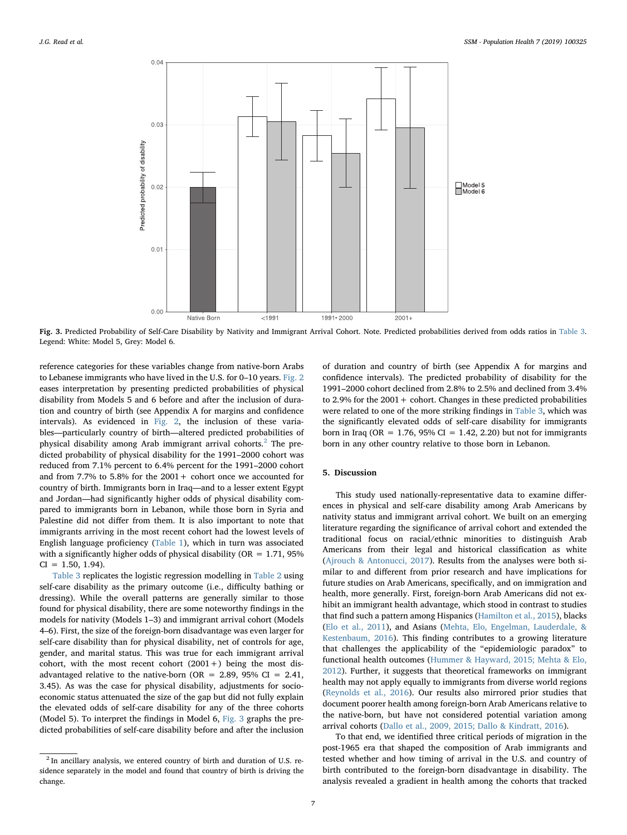<span id="page-6-0"></span>

Fig. 3. Predicted Probability of Self-Care Disability by Nativity and Immigrant Arrival Cohort. Note. Predicted probabilities derived from odds ratios in [Table 3.](#page-5-0) Legend: White: Model 5, Grey: Model 6.

reference categories for these variables change from native-born Arabs to Lebanese immigrants who have lived in the U.S. for 0–10 years. [Fig. 2](#page-5-1) eases interpretation by presenting predicted probabilities of physical disability from Models 5 and 6 before and after the inclusion of duration and country of birth (see Appendix A for margins and confidence intervals). As evidenced in [Fig. 2,](#page-5-1) the inclusion of these variables—particularly country of birth—altered predicted probabilities of physical disability among Arab immigrant arrival cohorts.<sup>[2](#page-6-1)</sup> The predicted probability of physical disability for the 1991–2000 cohort was reduced from 7.1% percent to 6.4% percent for the 1991–2000 cohort and from 7.7% to 5.8% for the  $2001 +$  cohort once we accounted for country of birth. Immigrants born in Iraq—and to a lesser extent Egypt and Jordan—had significantly higher odds of physical disability compared to immigrants born in Lebanon, while those born in Syria and Palestine did not differ from them. It is also important to note that immigrants arriving in the most recent cohort had the lowest levels of English language proficiency [\(Table 1\)](#page-3-0), which in turn was associated with a significantly higher odds of physical disability ( $OR = 1.71$ , 95%)  $CI = 1.50, 1.94$ .

[Table 3](#page-5-0) replicates the logistic regression modelling in [Table 2](#page-4-0) using self-care disability as the primary outcome (i.e., difficulty bathing or dressing). While the overall patterns are generally similar to those found for physical disability, there are some noteworthy findings in the models for nativity (Models 1–3) and immigrant arrival cohort (Models 4–6). First, the size of the foreign-born disadvantage was even larger for self-care disability than for physical disability, net of controls for age, gender, and marital status. This was true for each immigrant arrival cohort, with the most recent cohort  $(2001+)$  being the most disadvantaged relative to the native-born (OR = 2.89, 95% CI = 2.41, 3.45). As was the case for physical disability, adjustments for socioeconomic status attenuated the size of the gap but did not fully explain the elevated odds of self-care disability for any of the three cohorts (Model 5). To interpret the findings in Model 6, [Fig. 3](#page-6-0) graphs the predicted probabilities of self-care disability before and after the inclusion of duration and country of birth (see Appendix A for margins and confidence intervals). The predicted probability of disability for the 1991–2000 cohort declined from 2.8% to 2.5% and declined from 3.4% to 2.9% for the  $2001 +$  cohort. Changes in these predicted probabilities were related to one of the more striking findings in [Table 3,](#page-5-0) which was the significantly elevated odds of self-care disability for immigrants born in Iraq (OR =  $1.76$ , 95% CI =  $1.42$ , 2.20) but not for immigrants born in any other country relative to those born in Lebanon.

## 5. Discussion

This study used nationally-representative data to examine differences in physical and self-care disability among Arab Americans by nativity status and immigrant arrival cohort. We built on an emerging literature regarding the significance of arrival cohort and extended the traditional focus on racial/ethnic minorities to distinguish Arab Americans from their legal and historical classification as white ([Ajrouch & Antonucci, 2017\)](#page-7-12). Results from the analyses were both similar to and different from prior research and have implications for future studies on Arab Americans, specifically, and on immigration and health, more generally. First, foreign-born Arab Americans did not exhibit an immigrant health advantage, which stood in contrast to studies that find such a pattern among Hispanics [\(Hamilton et al., 2015\)](#page-8-5), blacks ([Elo et al., 2011\)](#page-7-1), and Asians [\(Mehta, Elo, Engelman, Lauderdale, &](#page-8-16) [Kestenbaum, 2016\)](#page-8-16). This finding contributes to a growing literature that challenges the applicability of the "epidemiologic paradox" to functional health outcomes [\(Hummer & Hayward, 2015; Mehta & Elo,](#page-8-17) [2012\)](#page-8-17). Further, it suggests that theoretical frameworks on immigrant health may not apply equally to immigrants from diverse world regions ([Reynolds et al., 2016\)](#page-8-4). Our results also mirrored prior studies that document poorer health among foreign-born Arab Americans relative to the native-born, but have not considered potential variation among arrival cohorts [\(Dallo et al., 2009, 2015; Dallo & Kindratt, 2016\)](#page-7-5).

To that end, we identified three critical periods of migration in the post-1965 era that shaped the composition of Arab immigrants and tested whether and how timing of arrival in the U.S. and country of birth contributed to the foreign-born disadvantage in disability. The analysis revealed a gradient in health among the cohorts that tracked

<span id="page-6-1"></span><sup>2</sup> In ancillary analysis, we entered country of birth and duration of U.S. residence separately in the model and found that country of birth is driving the change.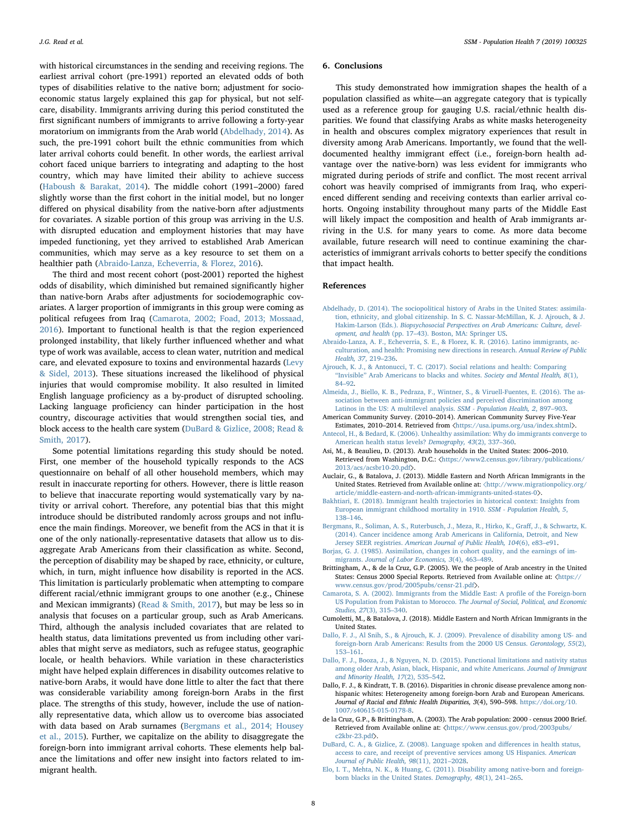with historical circumstances in the sending and receiving regions. The earliest arrival cohort (pre-1991) reported an elevated odds of both types of disabilities relative to the native born; adjustment for socioeconomic status largely explained this gap for physical, but not selfcare, disability. Immigrants arriving during this period constituted the first significant numbers of immigrants to arrive following a forty-year moratorium on immigrants from the Arab world [\(Abdelhady, 2014\)](#page-7-3). As such, the pre-1991 cohort built the ethnic communities from which later arrival cohorts could benefit. In other words, the earliest arrival cohort faced unique barriers to integrating and adapting to the host country, which may have limited their ability to achieve success ([Haboush & Barakat, 2014](#page-8-10)). The middle cohort (1991–2000) fared slightly worse than the first cohort in the initial model, but no longer differed on physical disability from the native-born after adjustments for covariates. A sizable portion of this group was arriving in the U.S. with disrupted education and employment histories that may have impeded functioning, yet they arrived to established Arab American communities, which may serve as a key resource to set them on a healthier path [\(Abraido-Lanza, Echeverria, & Florez, 2016\)](#page-7-13).

The third and most recent cohort (post-2001) reported the highest odds of disability, which diminished but remained significantly higher than native-born Arabs after adjustments for sociodemographic covariates. A larger proportion of immigrants in this group were coming as political refugees from Iraq ([Camarota, 2002; Foad, 2013; Mossaad,](#page-7-14) [2016\)](#page-7-14). Important to functional health is that the region experienced prolonged instability, that likely further influenced whether and what type of work was available, access to clean water, nutrition and medical care, and elevated exposure to toxins and environmental hazards [\(Levy](#page-8-11) [& Sidel, 2013\)](#page-8-11). These situations increased the likelihood of physical injuries that would compromise mobility. It also resulted in limited English language proficiency as a by-product of disrupted schooling. Lacking language proficiency can hinder participation in the host country, discourage activities that would strengthen social ties, and block access to the health care system ([DuBard & Gizlice, 2008; Read &](#page-7-15) [Smith, 2017](#page-7-15)).

Some potential limitations regarding this study should be noted. First, one member of the household typically responds to the ACS questionnaire on behalf of all other household members, which may result in inaccurate reporting for others. However, there is little reason to believe that inaccurate reporting would systematically vary by nativity or arrival cohort. Therefore, any potential bias that this might introduce should be distributed randomly across groups and not influence the main findings. Moreover, we benefit from the ACS in that it is one of the only nationally-representative datasets that allow us to disaggregate Arab Americans from their classification as white. Second, the perception of disability may be shaped by race, ethnicity, or culture, which, in turn, might influence how disability is reported in the ACS. This limitation is particularly problematic when attempting to compare different racial/ethnic immigrant groups to one another (e.g., Chinese and Mexican immigrants) [\(Read & Smith, 2017\)](#page-8-18), but may be less so in analysis that focuses on a particular group, such as Arab Americans. Third, although the analysis included covariates that are related to health status, data limitations prevented us from including other variables that might serve as mediators, such as refugee status, geographic locale, or health behaviors. While variation in these characteristics might have helped explain differences in disability outcomes relative to native-born Arabs, it would have done little to alter the fact that there was considerable variability among foreign-born Arabs in the first place. The strengths of this study, however, include the use of nationally representative data, which allow us to overcome bias associated with data based on Arab surnames ([Bergmans et al., 2014; Housey](#page-7-16) [et al., 2015\)](#page-7-16). Further, we capitalize on the ability to disaggregate the foreign-born into immigrant arrival cohorts. These elements help balance the limitations and offer new insight into factors related to immigrant health.

#### 6. Conclusions

This study demonstrated how immigration shapes the health of a population classified as white—an aggregate category that is typically used as a reference group for gauging U.S. racial/ethnic health disparities. We found that classifying Arabs as white masks heterogeneity in health and obscures complex migratory experiences that result in diversity among Arab Americans. Importantly, we found that the welldocumented healthy immigrant effect (i.e., foreign-born health advantage over the native-born) was less evident for immigrants who migrated during periods of strife and conflict. The most recent arrival cohort was heavily comprised of immigrants from Iraq, who experienced different sending and receiving contexts than earlier arrival cohorts. Ongoing instability throughout many parts of the Middle East will likely impact the composition and health of Arab immigrants arriving in the U.S. for many years to come. As more data become available, future research will need to continue examining the characteristics of immigrant arrivals cohorts to better specify the conditions that impact health.

### References

- <span id="page-7-3"></span>[Abdelhady, D. \(2014\). The sociopolitical history of Arabs in the United States: assimila](http://refhub.elsevier.com/S2352-8273(18)30263-5/sbref1)[tion, ethnicity, and global citizenship. In S. C. Nassar-McMillan, K. J. Ajrouch, & J.](http://refhub.elsevier.com/S2352-8273(18)30263-5/sbref1) Hakim-Larson (Eds.). [Biopsychosocial Perspectives on Arab Americans: Culture, devel](http://refhub.elsevier.com/S2352-8273(18)30263-5/sbref1)opment, and health (pp. 17–[43\). Boston, MA: Springer US](http://refhub.elsevier.com/S2352-8273(18)30263-5/sbref1).
- <span id="page-7-13"></span>[Abraido-Lanza, A. F., Echeverria, S. E., & Florez, K. R. \(2016\). Latino immigrants, ac](http://refhub.elsevier.com/S2352-8273(18)30263-5/sbref2)[culturation, and health: Promising new directions in research.](http://refhub.elsevier.com/S2352-8273(18)30263-5/sbref2) Annual Review of Public [Health, 37](http://refhub.elsevier.com/S2352-8273(18)30263-5/sbref2), 219–236.
- <span id="page-7-12"></span>[Ajrouch, K. J., & Antonucci, T. C. \(2017\). Social relations and health: Comparing](http://refhub.elsevier.com/S2352-8273(18)30263-5/sbref3) "Invisible" [Arab Americans to blacks and whites.](http://refhub.elsevier.com/S2352-8273(18)30263-5/sbref3) Society and Mental Health, 8(1), 84–[92](http://refhub.elsevier.com/S2352-8273(18)30263-5/sbref3).
- <span id="page-7-7"></span>[Almeida, J., Biello, K. B., Pedraza, F., Wintner, S., & Viruell-Fuentes, E. \(2016\). The as](http://refhub.elsevier.com/S2352-8273(18)30263-5/sbref4)[sociation between anti-immigrant policies and perceived discrimination among](http://refhub.elsevier.com/S2352-8273(18)30263-5/sbref4) [Latinos in the US: A multilevel analysis.](http://refhub.elsevier.com/S2352-8273(18)30263-5/sbref4) SSM - Population Health, 2, 897–903.
- <span id="page-7-4"></span>American Community Survey. (2010–2014). American Community Survey Five-Year Estimates, 2010–2014. Retrieved from 〈<https://usa.ipums.org/usa/index.shtml>〉.
- <span id="page-7-11"></span>[Antecol, H., & Bedard, K. \(2006\). Unhealthy assimilation: Why do immigrants converge to](http://refhub.elsevier.com/S2352-8273(18)30263-5/sbref5) [American health status levels?](http://refhub.elsevier.com/S2352-8273(18)30263-5/sbref5) Demography, 43(2), 337–360.
- <span id="page-7-8"></span>Asi, M., & Beaulieu, D. (2013). Arab households in the United States: 2006–2010. Retrieved from Washington, D.C.:  $\langle$ [https://www2.census.gov/library/publications/](https://www2.census.gov/library/publications/2013/acs/acsbr10-20.pdf) [2013/acs/acsbr10-20.pdf](https://www2.census.gov/library/publications/2013/acs/acsbr10-20.pdf)〉.
- <span id="page-7-2"></span>Auclair, G., & Batalova, J. (2013). Middle Eastern and North African Immigrants in the United States. Retrieved from Available online at: 〈[http://www.migrationpolicy.org/](http://www.migrationpolicy.org/article/middle-eastern-and-north-african-immigrants-united-states-0) [article/middle-eastern-and-north-african-immigrants-united-states-0](http://www.migrationpolicy.org/article/middle-eastern-and-north-african-immigrants-united-states-0)〉.
- <span id="page-7-0"></span>[Bakhtiari, E. \(2018\). Immigrant health trajectories in historical context: Insights from](http://refhub.elsevier.com/S2352-8273(18)30263-5/sbref6) [European immigrant childhood mortality in 1910.](http://refhub.elsevier.com/S2352-8273(18)30263-5/sbref6) SSM - Population Health, 5, 138–[146](http://refhub.elsevier.com/S2352-8273(18)30263-5/sbref6).
- <span id="page-7-16"></span>[Bergmans, R., Soliman, A. S., Ruterbusch, J., Meza, R., Hirko, K., Gra](http://refhub.elsevier.com/S2352-8273(18)30263-5/sbref7)ff, J., & Schwartz, K. [\(2014\). Cancer incidence among Arab Americans in California, Detroit, and New](http://refhub.elsevier.com/S2352-8273(18)30263-5/sbref7) Jersey SEER registries. [American Journal of Public Health, 104](http://refhub.elsevier.com/S2352-8273(18)30263-5/sbref7)(6), e83–e91.
- <span id="page-7-10"></span>[Borjas, G. J. \(1985\). Assimilation, changes in cohort quality, and the earnings of im](http://refhub.elsevier.com/S2352-8273(18)30263-5/sbref8)migrants. [Journal of Labor Economics, 3](http://refhub.elsevier.com/S2352-8273(18)30263-5/sbref8)(4), 463–489.
- Brittingham, A., & de la Cruz, G.P. (2005). We the people of Arab ancestry in the United States: Census 2000 Special Reports. Retrieved from Available online at: 〈[https://](https://www.census.gov/prod/2005pubs/censr-21.pdf) [www.census.gov/prod/2005pubs/censr-21.pdf](https://www.census.gov/prod/2005pubs/censr-21.pdf)〉.
- <span id="page-7-14"></span>[Camarota, S. A. \(2002\). Immigrants from the Middle East: A pro](http://refhub.elsevier.com/S2352-8273(18)30263-5/sbref9)file of the Foreign-born US Population from Pakistan to Morocco. [The Journal of Social, Political, and Economic](http://refhub.elsevier.com/S2352-8273(18)30263-5/sbref9) [Studies, 27](http://refhub.elsevier.com/S2352-8273(18)30263-5/sbref9)(3), 315–340.
- Cumoletti, M., & Batalova, J. (2018). Middle Eastern and North African Immigrants in the United States.
- <span id="page-7-5"></span>[Dallo, F. J., Al Snih, S., & Ajrouch, K. J. \(2009\). Prevalence of disability among US- and](http://refhub.elsevier.com/S2352-8273(18)30263-5/sbref10) [foreign-born Arab Americans: Results from the 2000 US Census.](http://refhub.elsevier.com/S2352-8273(18)30263-5/sbref10) Gerontology, 55(2), 153–[161](http://refhub.elsevier.com/S2352-8273(18)30263-5/sbref10).
- <span id="page-7-9"></span>[Dallo, F. J., Booza, J., & Nguyen, N. D. \(2015\). Functional limitations and nativity status](http://refhub.elsevier.com/S2352-8273(18)30263-5/sbref11) [among older Arab, Asian, black, Hispanic, and white Americans.](http://refhub.elsevier.com/S2352-8273(18)30263-5/sbref11) Journal of Immigrant [and Minority Health, 17](http://refhub.elsevier.com/S2352-8273(18)30263-5/sbref11)(2), 535–542.
- <span id="page-7-6"></span>Dallo, F. J., & Kindratt, T. B. (2016). Disparities in chronic disease prevalence among nonhispanic whites: Heterogeneity among foreign-born Arab and European Americans. Journal of Racial and Ethnic Health Disparities, 3(4), 590–598. [https://doi.org/10.](https://doi.org/10.1007/s40615-015-0178-8) [1007/s40615-015-0178-8](https://doi.org/10.1007/s40615-015-0178-8).
- de la Cruz, G.P., & Brittingham, A. (2003). The Arab population: 2000 census 2000 Brief. Retrieved from Available online at: 〈[https://www.census.gov/prod/2003pubs/](https://www.census.gov/prod/2003pubs/c2kbr-23.pdf) [c2kbr-23.pdf](https://www.census.gov/prod/2003pubs/c2kbr-23.pdf)〉.
- <span id="page-7-15"></span>[DuBard, C. A., & Gizlice, Z. \(2008\). Language spoken and di](http://refhub.elsevier.com/S2352-8273(18)30263-5/sbref13)fferences in health status, [access to care, and receipt of preventive services among US Hispanics.](http://refhub.elsevier.com/S2352-8273(18)30263-5/sbref13) American [Journal of Public Health, 98](http://refhub.elsevier.com/S2352-8273(18)30263-5/sbref13)(11), 2021–2028.
- <span id="page-7-1"></span>[Elo, I. T., Mehta, N. K., & Huang, C. \(2011\). Disability among native-born and foreign](http://refhub.elsevier.com/S2352-8273(18)30263-5/sbref14)[born blacks in the United States.](http://refhub.elsevier.com/S2352-8273(18)30263-5/sbref14) Demography, 48(1), 241–265.